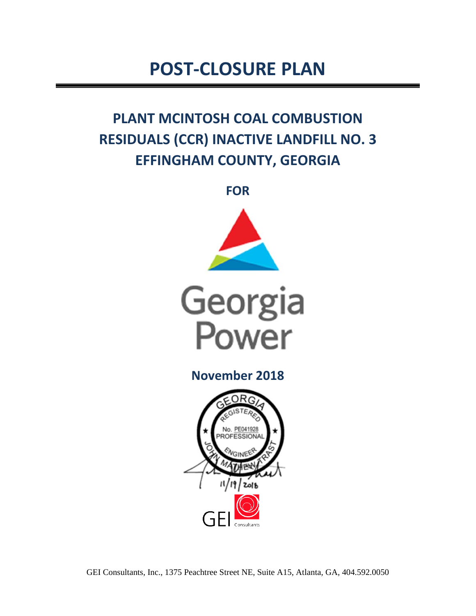# **POST-CLOSURE PLAN**

# **PLANT MCINTOSH COAL COMBUSTION RESIDUALS (CCR) INACTIVE LANDFILL NO. 3 EFFINGHAM COUNTY, GEORGIA**

**FOR** 





**November 2018** 

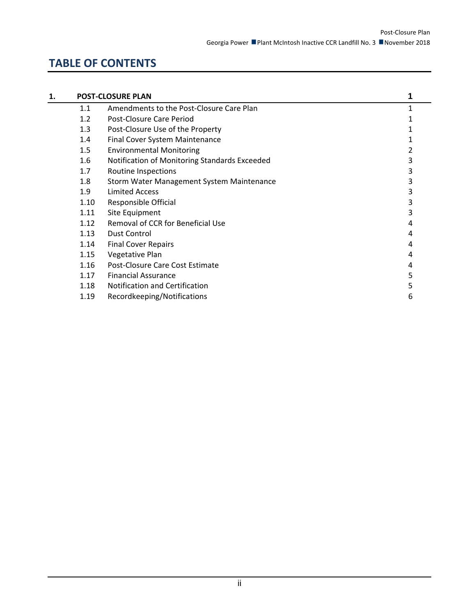# **TABLE OF CONTENTS**

| 1. |      | <b>POST-CLOSURE PLAN</b>                      |   |
|----|------|-----------------------------------------------|---|
|    | 1.1  | Amendments to the Post-Closure Care Plan      | 1 |
|    | 1.2  | Post-Closure Care Period                      |   |
|    | 1.3  | Post-Closure Use of the Property              |   |
|    | 1.4  | Final Cover System Maintenance                |   |
|    | 1.5  | <b>Environmental Monitoring</b>               |   |
|    | 1.6  | Notification of Monitoring Standards Exceeded | 3 |
|    | 1.7  | Routine Inspections                           | 3 |
|    | 1.8  | Storm Water Management System Maintenance     | 3 |
|    | 1.9  | Limited Access                                | 3 |
|    | 1.10 | Responsible Official                          | 3 |
|    | 1.11 | Site Equipment                                | 3 |
|    | 1.12 | Removal of CCR for Beneficial Use             | 4 |
|    | 1.13 | Dust Control                                  | 4 |
|    | 1.14 | <b>Final Cover Repairs</b>                    | 4 |
|    | 1.15 | Vegetative Plan                               | 4 |
|    | 1.16 | Post-Closure Care Cost Estimate               | 4 |
|    | 1.17 | <b>Financial Assurance</b>                    | 5 |
|    | 1.18 | Notification and Certification                | 5 |
|    | 1.19 | Recordkeeping/Notifications                   | 6 |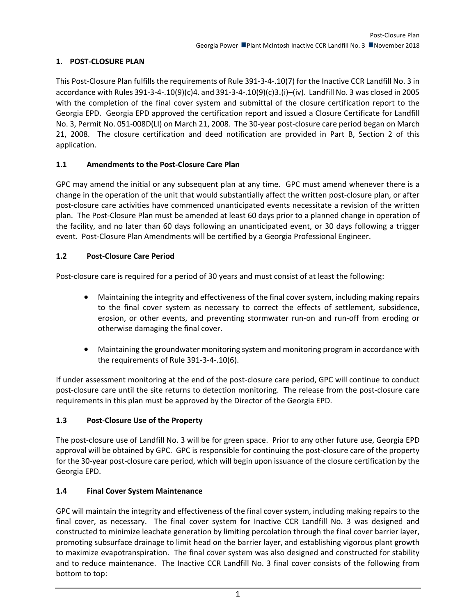# **1. POST-CLOSURE PLAN**

This Post-Closure Plan fulfills the requirements of Rule 391-3-4-.10(7) for the Inactive CCR Landfill No. 3 in accordance with Rules 391-3-4-.10(9)(c)4. and 391-3-4-.10(9)(c)3.(i)–(iv). Landfill No. 3 was closed in 2005 with the completion of the final cover system and submittal of the closure certification report to the Georgia EPD. Georgia EPD approved the certification report and issued a Closure Certificate for Landfill No. 3, Permit No. 051-008D(LI) on March 21, 2008. The 30-year post-closure care period began on March 21, 2008. The closure certification and deed notification are provided in Part B, Section 2 of this application.

# **1.1 Amendments to the Post-Closure Care Plan**

GPC may amend the initial or any subsequent plan at any time. GPC must amend whenever there is a change in the operation of the unit that would substantially affect the written post-closure plan, or after post-closure care activities have commenced unanticipated events necessitate a revision of the written plan. The Post-Closure Plan must be amended at least 60 days prior to a planned change in operation of the facility, and no later than 60 days following an unanticipated event, or 30 days following a trigger event. Post-Closure Plan Amendments will be certified by a Georgia Professional Engineer.

# **1.2 Post-Closure Care Period**

Post-closure care is required for a period of 30 years and must consist of at least the following:

- Maintaining the integrity and effectiveness of the final cover system, including making repairs to the final cover system as necessary to correct the effects of settlement, subsidence, erosion, or other events, and preventing stormwater run-on and run-off from eroding or otherwise damaging the final cover.
- Maintaining the groundwater monitoring system and monitoring program in accordance with the requirements of Rule 391-3-4-.10(6).

If under assessment monitoring at the end of the post-closure care period, GPC will continue to conduct post-closure care until the site returns to detection monitoring. The release from the post-closure care requirements in this plan must be approved by the Director of the Georgia EPD.

# **1.3 Post-Closure Use of the Property**

The post-closure use of Landfill No. 3 will be for green space. Prior to any other future use, Georgia EPD approval will be obtained by GPC. GPC is responsible for continuing the post-closure care of the property for the 30-year post-closure care period, which will begin upon issuance of the closure certification by the Georgia EPD.

#### **1.4 Final Cover System Maintenance**

GPC will maintain the integrity and effectiveness of the final cover system, including making repairs to the final cover, as necessary. The final cover system for Inactive CCR Landfill No. 3 was designed and constructed to minimize leachate generation by limiting percolation through the final cover barrier layer, promoting subsurface drainage to limit head on the barrier layer, and establishing vigorous plant growth to maximize evapotranspiration. The final cover system was also designed and constructed for stability and to reduce maintenance. The Inactive CCR Landfill No. 3 final cover consists of the following from bottom to top: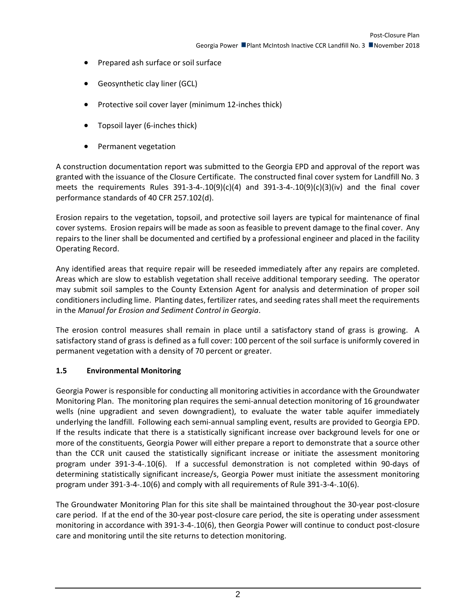- Prepared ash surface or soil surface
- Geosynthetic clay liner (GCL)
- Protective soil cover layer (minimum 12-inches thick)
- Topsoil layer (6-inches thick)
- Permanent vegetation

A construction documentation report was submitted to the Georgia EPD and approval of the report was granted with the issuance of the Closure Certificate. The constructed final cover system for Landfill No. 3 meets the requirements Rules  $391-3-4-0.10(9)(c)(4)$  and  $391-3-4-0.10(9)(c)(3)(iv)$  and the final cover performance standards of 40 CFR 257.102(d).

Erosion repairs to the vegetation, topsoil, and protective soil layers are typical for maintenance of final cover systems. Erosion repairs will be made as soon as feasible to prevent damage to the final cover. Any repairs to the liner shall be documented and certified by a professional engineer and placed in the facility Operating Record.

Any identified areas that require repair will be reseeded immediately after any repairs are completed. Areas which are slow to establish vegetation shall receive additional temporary seeding. The operator may submit soil samples to the County Extension Agent for analysis and determination of proper soil conditioners including lime. Planting dates, fertilizer rates, and seeding rates shall meet the requirements in the *Manual for Erosion and Sediment Control in Georgia*.

The erosion control measures shall remain in place until a satisfactory stand of grass is growing. A satisfactory stand of grass is defined as a full cover: 100 percent of the soil surface is uniformly covered in permanent vegetation with a density of 70 percent or greater.

# **1.5 Environmental Monitoring**

Georgia Power is responsible for conducting all monitoring activities in accordance with the Groundwater Monitoring Plan. The monitoring plan requires the semi-annual detection monitoring of 16 groundwater wells (nine upgradient and seven downgradient), to evaluate the water table aquifer immediately underlying the landfill. Following each semi-annual sampling event, results are provided to Georgia EPD. If the results indicate that there is a statistically significant increase over background levels for one or more of the constituents, Georgia Power will either prepare a report to demonstrate that a source other than the CCR unit caused the statistically significant increase or initiate the assessment monitoring program under 391-3-4-.10(6). If a successful demonstration is not completed within 90-days of determining statistically significant increase/s, Georgia Power must initiate the assessment monitoring program under 391-3-4-.10(6) and comply with all requirements of Rule 391-3-4-.10(6).

The Groundwater Monitoring Plan for this site shall be maintained throughout the 30-year post-closure care period. If at the end of the 30-year post-closure care period, the site is operating under assessment monitoring in accordance with 391-3-4-.10(6), then Georgia Power will continue to conduct post-closure care and monitoring until the site returns to detection monitoring.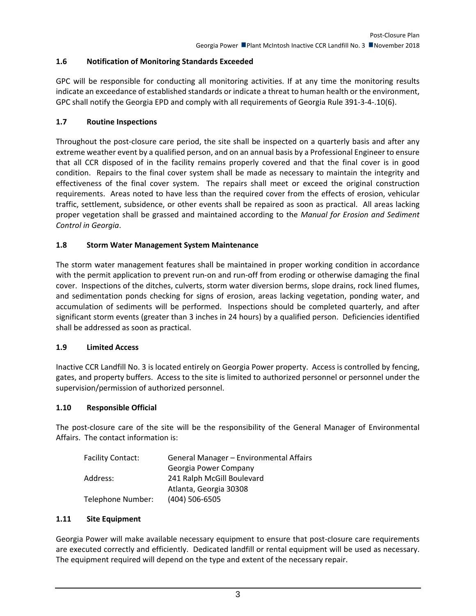# **1.6 Notification of Monitoring Standards Exceeded**

GPC will be responsible for conducting all monitoring activities. If at any time the monitoring results indicate an exceedance of established standards or indicate a threat to human health or the environment, GPC shall notify the Georgia EPD and comply with all requirements of Georgia Rule 391-3-4-.10(6).

#### **1.7 Routine Inspections**

Throughout the post-closure care period, the site shall be inspected on a quarterly basis and after any extreme weather event by a qualified person, and on an annual basis by a Professional Engineer to ensure that all CCR disposed of in the facility remains properly covered and that the final cover is in good condition. Repairs to the final cover system shall be made as necessary to maintain the integrity and effectiveness of the final cover system. The repairs shall meet or exceed the original construction requirements. Areas noted to have less than the required cover from the effects of erosion, vehicular traffic, settlement, subsidence, or other events shall be repaired as soon as practical. All areas lacking proper vegetation shall be grassed and maintained according to the *Manual for Erosion and Sediment Control in Georgia*.

### **1.8 Storm Water Management System Maintenance**

The storm water management features shall be maintained in proper working condition in accordance with the permit application to prevent run-on and run-off from eroding or otherwise damaging the final cover. Inspections of the ditches, culverts, storm water diversion berms, slope drains, rock lined flumes, and sedimentation ponds checking for signs of erosion, areas lacking vegetation, ponding water, and accumulation of sediments will be performed. Inspections should be completed quarterly, and after significant storm events (greater than 3 inches in 24 hours) by a qualified person. Deficiencies identified shall be addressed as soon as practical.

#### **1.9 Limited Access**

Inactive CCR Landfill No. 3 is located entirely on Georgia Power property. Access is controlled by fencing, gates, and property buffers. Access to the site is limited to authorized personnel or personnel under the supervision/permission of authorized personnel.

#### **1.10 Responsible Official**

The post-closure care of the site will be the responsibility of the General Manager of Environmental Affairs. The contact information is:

| General Manager - Environmental Affairs |
|-----------------------------------------|
| Georgia Power Company                   |
| 241 Ralph McGill Boulevard              |
| Atlanta, Georgia 30308                  |
| $(404)$ 506-6505                        |
|                                         |

#### **1.11 Site Equipment**

Georgia Power will make available necessary equipment to ensure that post-closure care requirements are executed correctly and efficiently. Dedicated landfill or rental equipment will be used as necessary. The equipment required will depend on the type and extent of the necessary repair.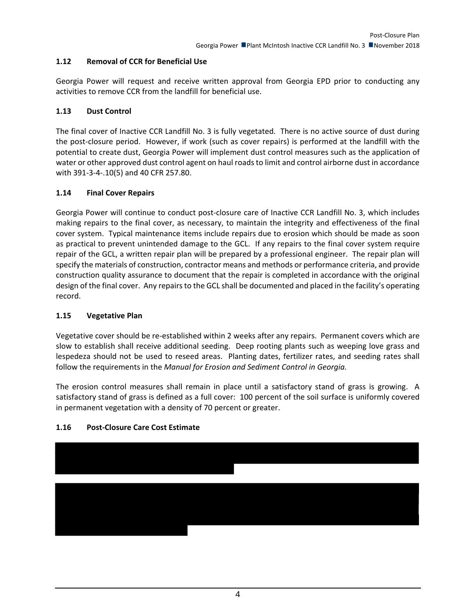# **1.12 Removal of CCR for Beneficial Use**

Georgia Power will request and receive written approval from Georgia EPD prior to conducting any activities to remove CCR from the landfill for beneficial use.

# **1.13 Dust Control**

The final cover of Inactive CCR Landfill No. 3 is fully vegetated. There is no active source of dust during the post-closure period. However, if work (such as cover repairs) is performed at the landfill with the potential to create dust, Georgia Power will implement dust control measures such as the application of water or other approved dust control agent on haul roads to limit and control airborne dust in accordance with 391-3-4-.10(5) and 40 CFR 257.80.

### **1.14 Final Cover Repairs**

Georgia Power will continue to conduct post-closure care of Inactive CCR Landfill No. 3, which includes making repairs to the final cover, as necessary, to maintain the integrity and effectiveness of the final cover system. Typical maintenance items include repairs due to erosion which should be made as soon as practical to prevent unintended damage to the GCL. If any repairs to the final cover system require repair of the GCL, a written repair plan will be prepared by a professional engineer. The repair plan will specify the materials of construction, contractor means and methods or performance criteria, and provide construction quality assurance to document that the repair is completed in accordance with the original design of the final cover. Any repairs to the GCL shall be documented and placed in the facility's operating record.

# **1.15 Vegetative Plan**

Vegetative cover should be re-established within 2 weeks after any repairs. Permanent covers which are slow to establish shall receive additional seeding. Deep rooting plants such as weeping love grass and lespedeza should not be used to reseed areas. Planting dates, fertilizer rates, and seeding rates shall follow the requirements in the *Manual for Erosion and Sediment Control in Georgia.*

The erosion control measures shall remain in place until a satisfactory stand of grass is growing. A satisfactory stand of grass is defined as a full cover: 100 percent of the soil surface is uniformly covered in permanent vegetation with a density of 70 percent or greater.

# **1.16 Post-Closure Care Cost Estimate**

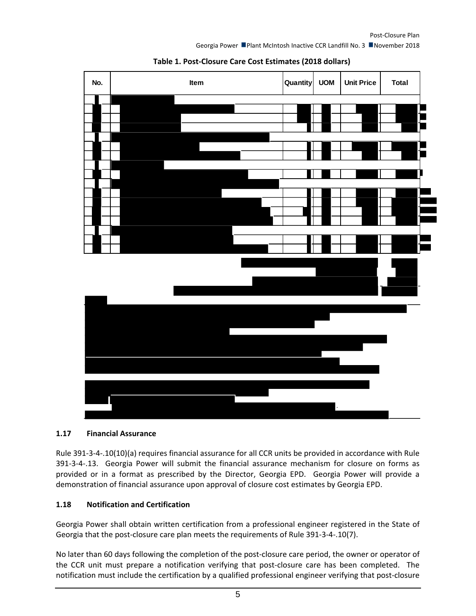Georgia Power Plant McIntosh Inactive CCR Landfill No. 3 November 2018





#### **1.17 Financial Assurance**

Rule 391-3-4-.10(10)(a) requires financial assurance for all CCR units be provided in accordance with Rule 391-3-4-.13. Georgia Power will submit the financial assurance mechanism for closure on forms as provided or in a format as prescribed by the Director, Georgia EPD. Georgia Power will provide a demonstration of financial assurance upon approval of closure cost estimates by Georgia EPD.

#### **1.18 Notification and Certification**

Georgia Power shall obtain written certification from a professional engineer registered in the State of Georgia that the post-closure care plan meets the requirements of Rule 391-3-4-.10(7).

No later than 60 days following the completion of the post-closure care period, the owner or operator of the CCR unit must prepare a notification verifying that post-closure care has been completed. The notification must include the certification by a qualified professional engineer verifying that post-closure